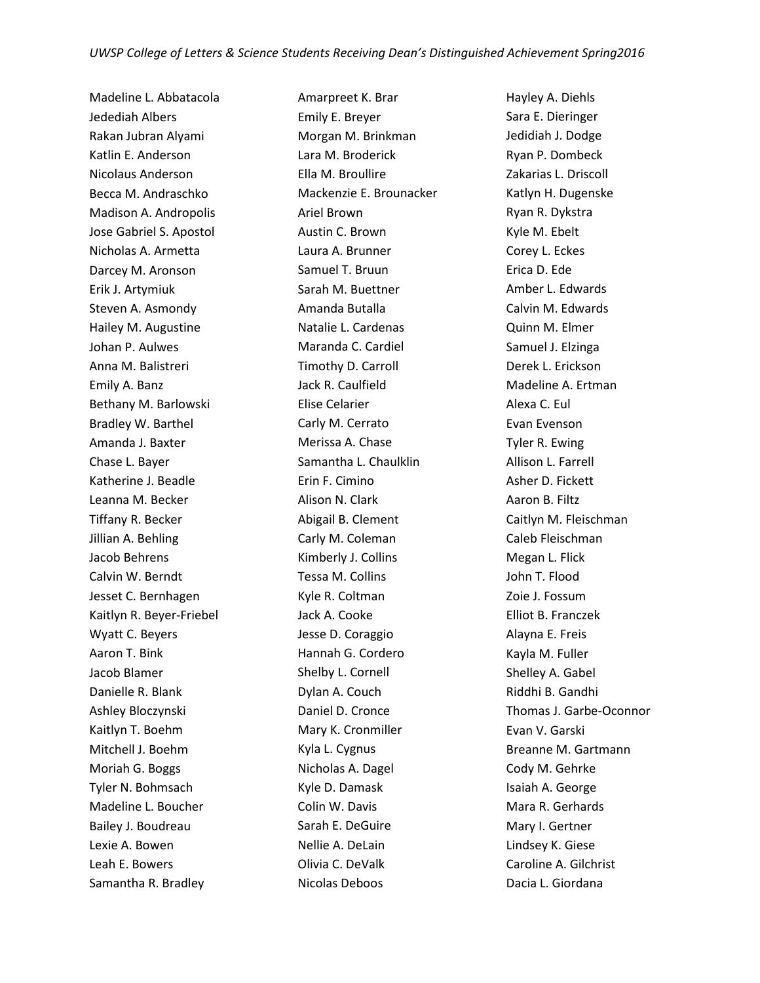Madeline L. Abbatacola Jedediah Albers Rakan Jubran Alyami Katlin E. Anderson Nicolaus Anderson Becca M. Andraschko Madison A. Andropolis Jose Gabriel S. Apostol Nicholas A. Armetta Darcey M. Aronson Erik J. Artymiuk Steven A. Asmondy Hailey M. Augustine Johan P. Aulwes Anna M. Balistreri Emily A. Banz Bethany M. Barlowski Bradley W. Barthel Amanda J. Baxter Chase L. Bayer Katherine J. Beadle Leanna M. Becker Tiffany R. Becker Jillian A. Behling Jacob Behrens Calvin W. Berndt Jesset C. Bernhagen Kaitlyn R. Beyer-Friebel Wyatt C. Beyers Aaron T. Bink Jacob Blamer Danielle R. Blank Ashley Bloczynski Kaitlyn T. Boehm Mitchell J. Boehm Moriah G. Boggs Tyler N. Bohmsach Madeline L. Boucher Bailey J. Boudreau Lexie A. Bowen Leah E. Bowers Samantha R. Bradley

Amarpreet K. Brar Emily E. Breyer Morgan M. Brinkman Lara M. Broderick Ella M. Broullire Mackenzie E. Brounacker Ariel Brown Austin C. Brown Laura A. Brunner Samuel T. Bruun Sarah M. Buettner Amanda Butalla Natalie L. Cardenas Maranda C. Cardiel Timothy D. Carroll Jack R. Caulfield Elise Celarier Carly M. Cerrato Merissa A. Chase Samantha L. Chaulklin Erin F. Cimino Alison N. Clark Abigail B. Clement Carly M. Coleman Kimberly J. Collins Tessa M. Collins Kyle R. Coltman Jack A. Cooke Jesse D. Coraggio Hannah G. Cordero Shelby L. Cornell Dylan A. Couch Daniel D. Cronce Mary K. Cronmiller Kyla L. Cygnus Nicholas A. Dagel Kyle D. Damask Colin W. Davis Sarah E. DeGuire Nellie A. DeLain Olivia C. DeValk Nicolas Deboos

Hayley A. Diehls Sara E. Dieringer Jedidiah J. Dodge Ryan P. Dombeck Zakarias L. Driscoll Katlyn H. Dugenske Ryan R. Dykstra Kyle M. Ebelt Corey L. Eckes Erica D. Ede Amber L. Edwards Calvin M. Edwards Quinn M. Elmer Samuel J. Elzinga Derek L. Erickson Madeline A. Ertman Alexa C. Eul Evan Evenson Tyler R. Ewing Allison L. Farrell Asher D. Fickett Aaron B. Filtz Caitlyn M. Fleischman Caleb Fleischman Megan L. Flick John T. Flood Zoie J. Fossum Elliot B. Franczek Alayna E. Freis Kayla M. Fuller Shelley A. Gabel Riddhi B. Gandhi Thomas J. Garbe-Oconnor Evan V. Garski Breanne M. Gartmann Cody M. Gehrke Isaiah A. George Mara R. Gerhards Mary I. Gertner Lindsey K. Giese Caroline A. Gilchrist Dacia L. Giordana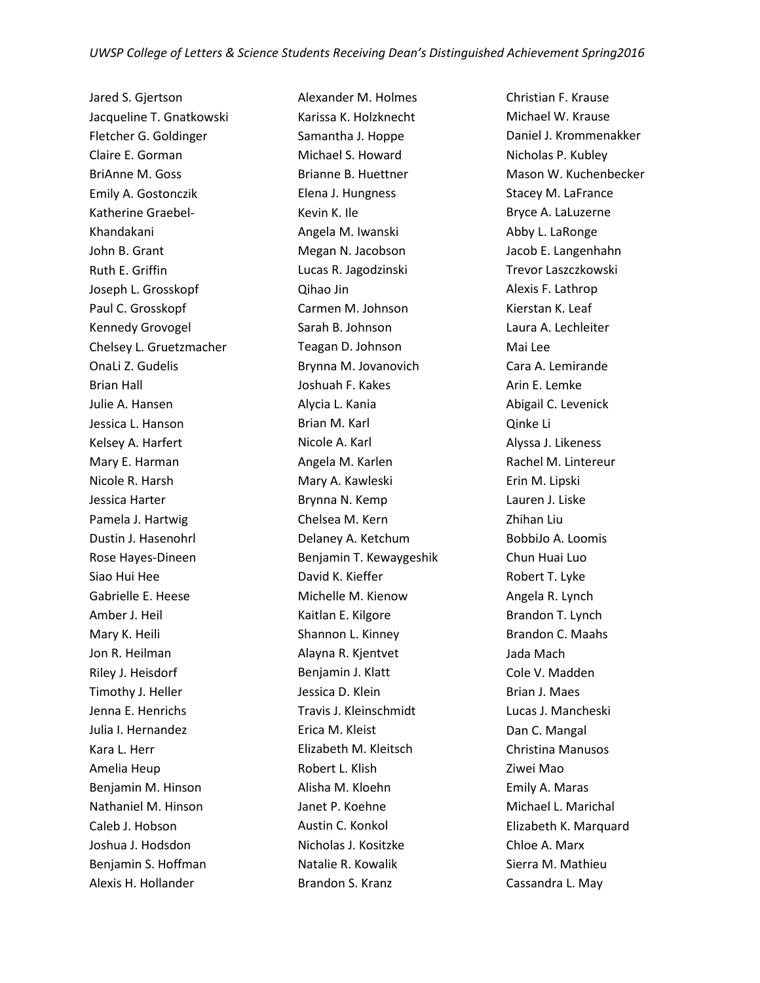Jared S. Gjertson Jacqueline T. Gnatkowski Fletcher G. Goldinger Claire E. Gorman BriAnne M. Goss Emily A. Gostonczik Katherine Graebel-Khandakani John B. Grant Ruth E. Griffin Joseph L. Grosskopf Paul C. Grosskopf Kennedy Grovogel Chelsey L. Gruetzmacher OnaLi Z. Gudelis Brian Hall Julie A. Hansen Jessica L. Hanson Kelsey A. Harfert Mary E. Harman Nicole R. Harsh Jessica Harter Pamela J. Hartwig Dustin J. Hasenohrl Rose Hayes-Dineen Siao Hui Hee Gabrielle E. Heese Amber J. Heil Mary K. Heili Jon R. Heilman Riley J. Heisdorf Timothy J. Heller Jenna E. Henrichs Julia I. Hernandez Kara L. Herr Amelia Heup Benjamin M. Hinson Nathaniel M. Hinson Caleb J. Hobson Joshua J. Hodsdon Benjamin S. Hoffman Alexis H. Hollander

Alexander M. Holmes Karissa K. Holzknecht Samantha J. Hoppe Michael S. Howard Brianne B. Huettner Elena J. Hungness Kevin K. Ile Angela M. Iwanski Megan N. Jacobson Lucas R. Jagodzinski Qihao Jin Carmen M. Johnson Sarah B. Johnson Teagan D. Johnson Brynna M. Jovanovich Joshuah F. Kakes Alycia L. Kania Brian M. Karl Nicole A. Karl Angela M. Karlen Mary A. Kawleski Brynna N. Kemp Chelsea M. Kern Delaney A. Ketchum Benjamin T. Kewaygeshik David K. Kieffer Michelle M. Kienow Kaitlan E. Kilgore Shannon L. Kinney Alayna R. Kjentvet Benjamin J. Klatt Jessica D. Klein Travis J. Kleinschmidt Erica M. Kleist Elizabeth M. Kleitsch Robert L. Klish Alisha M. Kloehn Janet P. Koehne Austin C. Konkol Nicholas J. Kositzke Natalie R. Kowalik Brandon S. Kranz

Christian F. Krause Michael W. Krause Daniel J. Krommenakker Nicholas P. Kubley Mason W. Kuchenbecker Stacey M. LaFrance Bryce A. LaLuzerne Abby L. LaRonge Jacob E. Langenhahn Trevor Laszczkowski Alexis F. Lathrop Kierstan K. Leaf Laura A. Lechleiter Mai Lee Cara A. Lemirande Arin E. Lemke Abigail C. Levenick Qinke Li Alyssa J. Likeness Rachel M. Lintereur Erin M. Lipski Lauren J. Liske Zhihan Liu BobbiJo A. Loomis Chun Huai Luo Robert T. Lyke Angela R. Lynch Brandon T. Lynch Brandon C. Maahs Jada Mach Cole V. Madden Brian J. Maes Lucas J. Mancheski Dan C. Mangal Christina Manusos Ziwei Mao Emily A. Maras Michael L. Marichal Elizabeth K. Marquard Chloe A. Marx Sierra M. Mathieu Cassandra L. May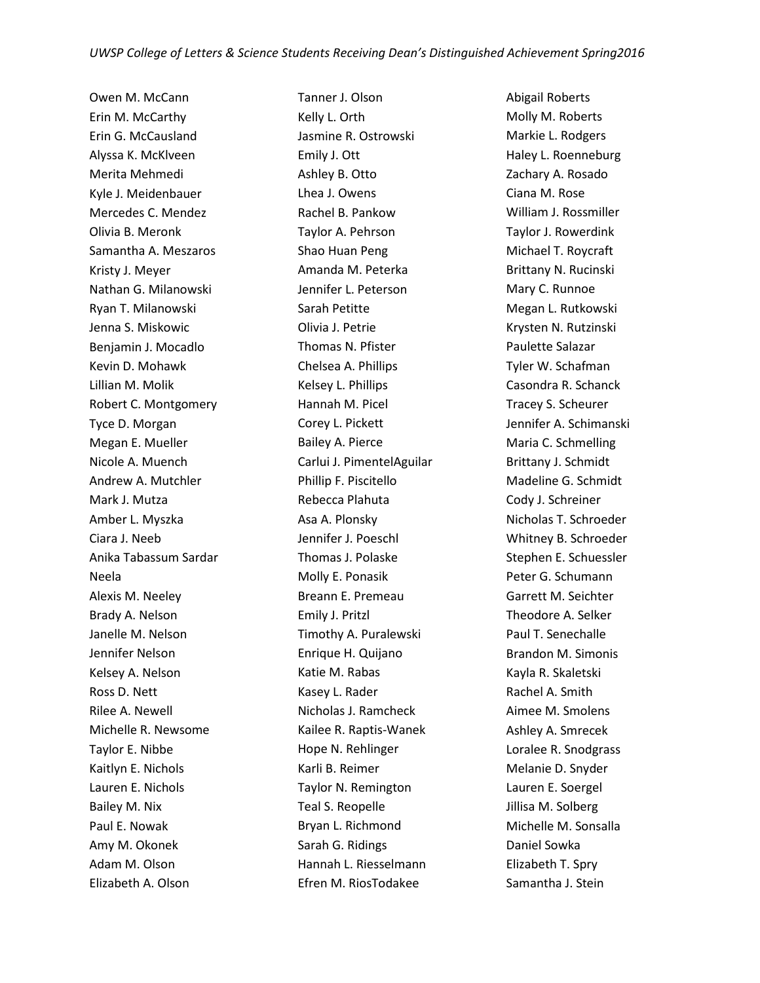Owen M. McCann Erin M. McCarthy Erin G. McCausland Alyssa K. McKlveen Merita Mehmedi Kyle J. Meidenbauer Mercedes C. Mendez Olivia B. Meronk Samantha A. Meszaros Kristy J. Meyer Nathan G. Milanowski Ryan T. Milanowski Jenna S. Miskowic Benjamin J. Mocadlo Kevin D. Mohawk Lillian M. Molik Robert C. Montgomery Tyce D. Morgan Megan E. Mueller Nicole A. Muench Andrew A. Mutchler Mark J. Mutza Amber L. Myszka Ciara J. Neeb Anika Tabassum Sardar Neela Alexis M. Neeley Brady A. Nelson Janelle M. Nelson Jennifer Nelson Kelsey A. Nelson Ross D. Nett Rilee A. Newell Michelle R. Newsome Taylor E. Nibbe Kaitlyn E. Nichols Lauren E. Nichols Bailey M. Nix Paul E. Nowak Amy M. Okonek Adam M. Olson Elizabeth A. Olson

Tanner J. Olson Kelly L. Orth Jasmine R. Ostrowski Emily J. Ott Ashley B. Otto Lhea J. Owens Rachel B. Pankow Taylor A. Pehrson Shao Huan Peng Amanda M. Peterka Jennifer L. Peterson Sarah Petitte Olivia J. Petrie Thomas N. Pfister Chelsea A. Phillips Kelsey L. Phillips Hannah M. Picel Corey L. Pickett Bailey A. Pierce Carlui J. PimentelAguilar Phillip F. Piscitello Rebecca Plahuta Asa A. Plonsky Jennifer J. Poeschl Thomas J. Polaske Molly E. Ponasik Breann E. Premeau Emily J. Pritzl Timothy A. Puralewski Enrique H. Quijano Katie M. Rabas Kasey L. Rader Nicholas J. Ramcheck Kailee R. Raptis-Wanek Hope N. Rehlinger Karli B. Reimer Taylor N. Remington Teal S. Reopelle Bryan L. Richmond Sarah G. Ridings Hannah L. Riesselmann Efren M. RiosTodakee

Abigail Roberts Molly M. Roberts Markie L. Rodgers Haley L. Roenneburg Zachary A. Rosado Ciana M. Rose William J. Rossmiller Taylor J. Rowerdink Michael T. Roycraft Brittany N. Rucinski Mary C. Runnoe Megan L. Rutkowski Krysten N. Rutzinski Paulette Salazar Tyler W. Schafman Casondra R. Schanck Tracey S. Scheurer Jennifer A. Schimanski Maria C. Schmelling Brittany J. Schmidt Madeline G. Schmidt Cody J. Schreiner Nicholas T. Schroeder Whitney B. Schroeder Stephen E. Schuessler Peter G. Schumann Garrett M. Seichter Theodore A. Selker Paul T. Senechalle Brandon M. Simonis Kayla R. Skaletski Rachel A. Smith Aimee M. Smolens Ashley A. Smrecek Loralee R. Snodgrass Melanie D. Snyder Lauren E. Soergel Jillisa M. Solberg Michelle M. Sonsalla Daniel Sowka Elizabeth T. Spry Samantha J. Stein